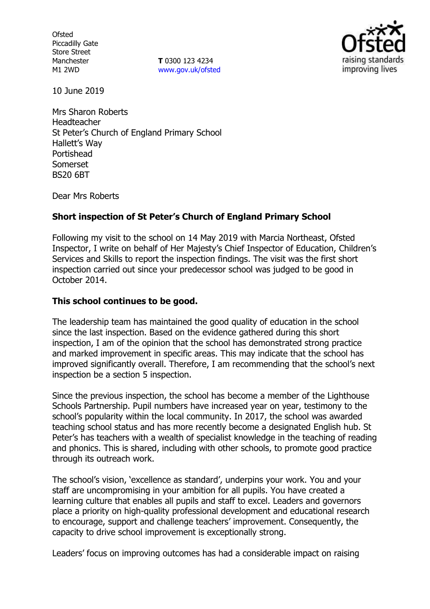**Ofsted** Piccadilly Gate Store Street Manchester M1 2WD

**T** 0300 123 4234 www.gov.uk/ofsted



10 June 2019

Mrs Sharon Roberts Headteacher St Peter's Church of England Primary School Hallett's Way Portishead Somerset BS20 6BT

Dear Mrs Roberts

# **Short inspection of St Peter's Church of England Primary School**

Following my visit to the school on 14 May 2019 with Marcia Northeast, Ofsted Inspector, I write on behalf of Her Majesty's Chief Inspector of Education, Children's Services and Skills to report the inspection findings. The visit was the first short inspection carried out since your predecessor school was judged to be good in October 2014.

## **This school continues to be good.**

The leadership team has maintained the good quality of education in the school since the last inspection. Based on the evidence gathered during this short inspection, I am of the opinion that the school has demonstrated strong practice and marked improvement in specific areas. This may indicate that the school has improved significantly overall. Therefore, I am recommending that the school's next inspection be a section 5 inspection.

Since the previous inspection, the school has become a member of the Lighthouse Schools Partnership. Pupil numbers have increased year on year, testimony to the school's popularity within the local community. In 2017, the school was awarded teaching school status and has more recently become a designated English hub. St Peter's has teachers with a wealth of specialist knowledge in the teaching of reading and phonics. This is shared, including with other schools, to promote good practice through its outreach work.

The school's vision, 'excellence as standard', underpins your work. You and your staff are uncompromising in your ambition for all pupils. You have created a learning culture that enables all pupils and staff to excel. Leaders and governors place a priority on high-quality professional development and educational research to encourage, support and challenge teachers' improvement. Consequently, the capacity to drive school improvement is exceptionally strong.

Leaders' focus on improving outcomes has had a considerable impact on raising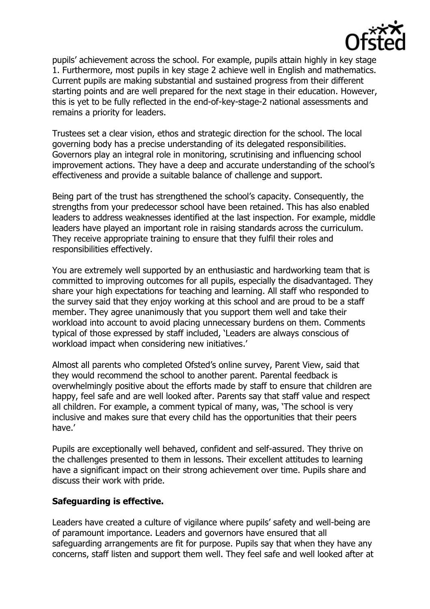

pupils' achievement across the school. For example, pupils attain highly in key stage 1. Furthermore, most pupils in key stage 2 achieve well in English and mathematics. Current pupils are making substantial and sustained progress from their different starting points and are well prepared for the next stage in their education. However, this is yet to be fully reflected in the end-of-key-stage-2 national assessments and remains a priority for leaders.

Trustees set a clear vision, ethos and strategic direction for the school. The local governing body has a precise understanding of its delegated responsibilities. Governors play an integral role in monitoring, scrutinising and influencing school improvement actions. They have a deep and accurate understanding of the school's effectiveness and provide a suitable balance of challenge and support.

Being part of the trust has strengthened the school's capacity. Consequently, the strengths from your predecessor school have been retained. This has also enabled leaders to address weaknesses identified at the last inspection. For example, middle leaders have played an important role in raising standards across the curriculum. They receive appropriate training to ensure that they fulfil their roles and responsibilities effectively.

You are extremely well supported by an enthusiastic and hardworking team that is committed to improving outcomes for all pupils, especially the disadvantaged. They share your high expectations for teaching and learning. All staff who responded to the survey said that they enjoy working at this school and are proud to be a staff member. They agree unanimously that you support them well and take their workload into account to avoid placing unnecessary burdens on them. Comments typical of those expressed by staff included, 'Leaders are always conscious of workload impact when considering new initiatives.'

Almost all parents who completed Ofsted's online survey, Parent View, said that they would recommend the school to another parent. Parental feedback is overwhelmingly positive about the efforts made by staff to ensure that children are happy, feel safe and are well looked after. Parents say that staff value and respect all children. For example, a comment typical of many, was, 'The school is very inclusive and makes sure that every child has the opportunities that their peers have.'

Pupils are exceptionally well behaved, confident and self-assured. They thrive on the challenges presented to them in lessons. Their excellent attitudes to learning have a significant impact on their strong achievement over time. Pupils share and discuss their work with pride.

## **Safeguarding is effective.**

Leaders have created a culture of vigilance where pupils' safety and well-being are of paramount importance. Leaders and governors have ensured that all safeguarding arrangements are fit for purpose. Pupils say that when they have any concerns, staff listen and support them well. They feel safe and well looked after at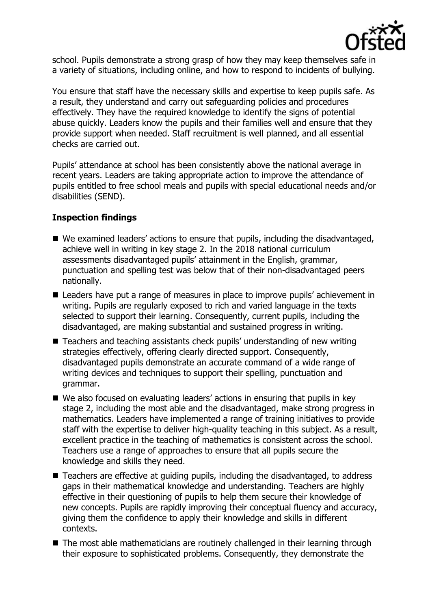

school. Pupils demonstrate a strong grasp of how they may keep themselves safe in a variety of situations, including online, and how to respond to incidents of bullying.

You ensure that staff have the necessary skills and expertise to keep pupils safe. As a result, they understand and carry out safeguarding policies and procedures effectively. They have the required knowledge to identify the signs of potential abuse quickly. Leaders know the pupils and their families well and ensure that they provide support when needed. Staff recruitment is well planned, and all essential checks are carried out.

Pupils' attendance at school has been consistently above the national average in recent years. Leaders are taking appropriate action to improve the attendance of pupils entitled to free school meals and pupils with special educational needs and/or disabilities (SEND).

## **Inspection findings**

- We examined leaders' actions to ensure that pupils, including the disadvantaged, achieve well in writing in key stage 2. In the 2018 national curriculum assessments disadvantaged pupils' attainment in the English, grammar, punctuation and spelling test was below that of their non-disadvantaged peers nationally.
- Leaders have put a range of measures in place to improve pupils' achievement in writing. Pupils are regularly exposed to rich and varied language in the texts selected to support their learning. Consequently, current pupils, including the disadvantaged, are making substantial and sustained progress in writing.
- Teachers and teaching assistants check pupils' understanding of new writing strategies effectively, offering clearly directed support. Consequently, disadvantaged pupils demonstrate an accurate command of a wide range of writing devices and techniques to support their spelling, punctuation and grammar.
- We also focused on evaluating leaders' actions in ensuring that pupils in key stage 2, including the most able and the disadvantaged, make strong progress in mathematics. Leaders have implemented a range of training initiatives to provide staff with the expertise to deliver high-quality teaching in this subject. As a result, excellent practice in the teaching of mathematics is consistent across the school. Teachers use a range of approaches to ensure that all pupils secure the knowledge and skills they need.
- Teachers are effective at guiding pupils, including the disadvantaged, to address gaps in their mathematical knowledge and understanding. Teachers are highly effective in their questioning of pupils to help them secure their knowledge of new concepts. Pupils are rapidly improving their conceptual fluency and accuracy, giving them the confidence to apply their knowledge and skills in different contexts.
- The most able mathematicians are routinely challenged in their learning through their exposure to sophisticated problems. Consequently, they demonstrate the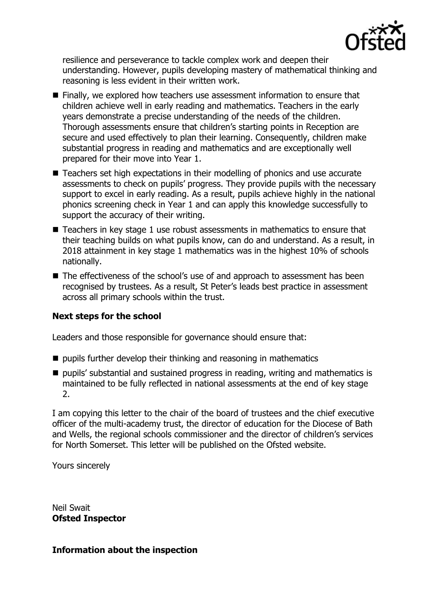

resilience and perseverance to tackle complex work and deepen their understanding. However, pupils developing mastery of mathematical thinking and reasoning is less evident in their written work.

- **Finally, we explored how teachers use assessment information to ensure that** children achieve well in early reading and mathematics. Teachers in the early years demonstrate a precise understanding of the needs of the children. Thorough assessments ensure that children's starting points in Reception are secure and used effectively to plan their learning. Consequently, children make substantial progress in reading and mathematics and are exceptionally well prepared for their move into Year 1.
- Teachers set high expectations in their modelling of phonics and use accurate assessments to check on pupils' progress. They provide pupils with the necessary support to excel in early reading. As a result, pupils achieve highly in the national phonics screening check in Year 1 and can apply this knowledge successfully to support the accuracy of their writing.
- Teachers in key stage 1 use robust assessments in mathematics to ensure that their teaching builds on what pupils know, can do and understand. As a result, in 2018 attainment in key stage 1 mathematics was in the highest 10% of schools nationally.
- The effectiveness of the school's use of and approach to assessment has been recognised by trustees. As a result, St Peter's leads best practice in assessment across all primary schools within the trust.

## **Next steps for the school**

Leaders and those responsible for governance should ensure that:

- $\blacksquare$  pupils further develop their thinking and reasoning in mathematics
- pupils' substantial and sustained progress in reading, writing and mathematics is maintained to be fully reflected in national assessments at the end of key stage 2.

I am copying this letter to the chair of the board of trustees and the chief executive officer of the multi-academy trust, the director of education for the Diocese of Bath and Wells, the regional schools commissioner and the director of children's services for North Somerset. This letter will be published on the Ofsted website.

Yours sincerely

Neil Swait **Ofsted Inspector**

## **Information about the inspection**